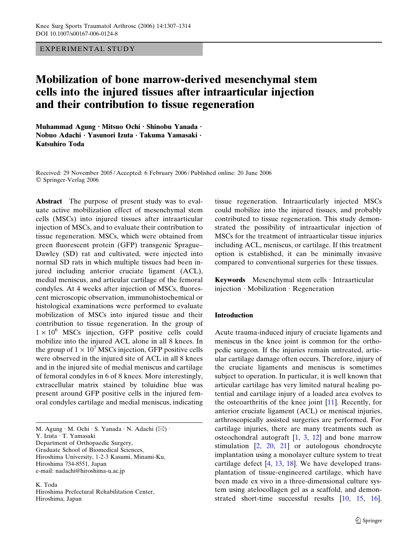EXPERIMENTAL STUDY

# Mobilization of bone marrow-derived mesenchymal stem cells into the injured tissues after intraarticular injection and their contribution to tissue regeneration

Muhammad Agung · Mitsuo Ochi · Shinobu Yanada · Nobuo Adachi · Yasunori Izuta · Takuma Yamasaki · Katsuhiro Toda

Received: 29 November 2005 / Accepted: 6 February 2006 / Published online: 20 June 2006 Springer-Verlag 2006

Abstract The purpose of present study was to evaluate active mobilization effect of mesenchymal stem cells (MSCs) into injured tissues after intraarticular injection of MSCs, and to evaluate their contribution to tissue regeneration. MSCs, which were obtained from green fluorescent protein (GFP) transgenic Sprague– Dawley (SD) rat and cultivated, were injected into normal SD rats in which multiple tissues had been injured including anterior cruciate ligament (ACL), medial meniscus, and articular cartilage of the femoral condyles. At 4 weeks after injection of MSCs, fluorescent microscopic observation, immunohistochemical or histological examinations were performed to evaluate mobilization of MSCs into injured tissue and their contribution to tissue regeneration. In the group of  $1 \times 10^6$  MSCs injection, GFP positive cells could mobilize into the injured ACL alone in all 8 knees. In the group of  $1 \times 10^7$  MSCs injection, GFP positive cells were observed in the injured site of ACL in all 8 knees and in the injured site of medial meniscus and cartilage of femoral condyles in 6 of 8 knees. More interestingly, extracellular matrix stained by toluidine blue was present around GFP positive cells in the injured femoral condyles cartilage and medial meniscus, indicating

M. Agung · M. Ochi · S. Yanada · N. Adachi (⊠) · Y. Izuta · T. Yamasaki Department of Orthopaedic Surgery, Graduate School of Biomedical Sciences, Hiroshima University, 1-2-3 Kasumi, Minami-Ku, Hiroshima 734-8551, Japan e-mail: nadachi@hiroshima-u.ac.jp

K. Toda Hiroshima Prefectural Rehabilitation Center, Hiroshima, Japan

tissue regeneration. Intraarticularly injected MSCs could mobilize into the injured tissues, and probably contributed to tissue regeneration. This study demonstrated the possibility of intraarticular injection of MSCs for the treatment of intraarticular tissue injuries including ACL, meniscus, or cartilage. If this treatment option is established, it can be minimally invasive compared to conventional surgeries for these tissues.

Keywords Mesenchymal stem cells  $\cdot$  Intraarticular  $injection \cdot Mobilization \cdot Regeneration$ 

#### Introduction

Acute trauma-induced injury of cruciate ligaments and meniscus in the knee joint is common for the orthopedic surgeon. If the injuries remain untreated, articular cartilage damage often occurs. Therefore, injury of the cruciate ligaments and meniscus is sometimes subject to operation. In particular, it is well known that articular cartilage has very limited natural healing potential and cartilage injury of a loaded area evolves to the osteoarthritis of the knee joint [[11\]](#page-7-0). Recently, for anterior cruciate ligament (ACL) or meniscal injuries, arthroscopically assisted surgeries are performed. For cartilage injuries, there are many treatments such as osteochondral autograft  $[1, 3, 12]$  $[1, 3, 12]$  $[1, 3, 12]$  $[1, 3, 12]$  $[1, 3, 12]$  $[1, 3, 12]$  and bone marrow stimulation  $\begin{bmatrix} 2 & 20 & 21 \end{bmatrix}$  $\begin{bmatrix} 2 & 20 & 21 \end{bmatrix}$  $\begin{bmatrix} 2 & 20 & 21 \end{bmatrix}$  or autologous chondrocyte implantation using a monolayer culture system to treat cartilage defect [[4,](#page-7-0) [13](#page-7-0), [18](#page-7-0)]. We have developed transplantation of tissue-engineered cartilage, which have been made ex vivo in a three-dimensional culture system using atelocollagen gel as a scaffold, and demonstrated short-time successful results [\[10](#page-7-0), [15,](#page-7-0) [16](#page-7-0)].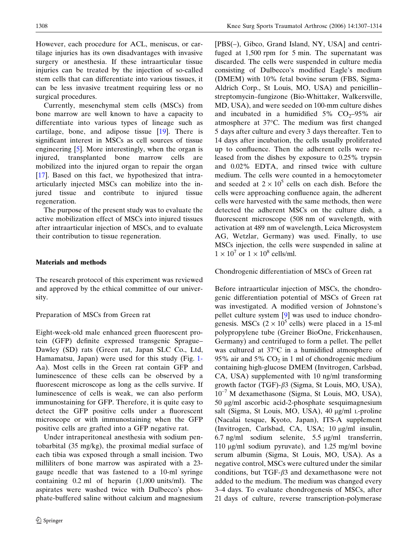However, each procedure for ACL, meniscus, or cartilage injuries has its own disadvantages with invasive surgery or anesthesia. If these intraarticular tissue injuries can be treated by the injection of so-called stem cells that can differentiate into various tissues, it can be less invasive treatment requiring less or no surgical procedures.

Currently, mesenchymal stem cells (MSCs) from bone marrow are well known to have a capacity to differentiate into various types of lineage such as cartilage, bone, and adipose tissue [[19\]](#page-7-0). There is significant interest in MSCs as cell sources of tissue engineering [[5\]](#page-7-0). More interestingly, when the organ is injured, transplanted bone marrow cells are mobilized into the injured organ to repair the organ [\[17](#page-7-0)]. Based on this fact, we hypothesized that intraarticularly injected MSCs can mobilize into the injured tissue and contribute to injured tissue regeneration.

The purpose of the present study was to evaluate the active mobilization effect of MSCs into injured tissues after intraarticular injection of MSCs, and to evaluate their contribution to tissue regeneration.

### Materials and methods

The research protocol of this experiment was reviewed and approved by the ethical committee of our university.

## Preparation of MSCs from Green rat

Eight-week-old male enhanced green fluorescent protein (GFP) definite expressed transgenic Sprague– Dawley (SD) rats (Green rat, Japan SLC Co., Ltd, Hamamatsu, Japan) were used for this study (Fig. [1-](#page-2-0) Aa). Most cells in the Green rat contain GFP and luminescence of these cells can be observed by a fluorescent microscope as long as the cells survive. If luminescence of cells is weak, we can also perform immunostaining for GFP. Therefore, it is quite easy to detect the GFP positive cells under a fluorescent microscope or with immunostaining when the GFP positive cells are grafted into a GFP negative rat.

Under intraperitoneal anesthesia with sodium pentobarbital (35 mg/kg), the proximal medial surface of each tibia was exposed through a small incision. Two milliliters of bone marrow was aspirated with a 23 gauge needle that was fastened to a 10-ml syringe containing 0.2 ml of heparin (1,000 units/ml). The aspirates were washed twice with Dulbecco's phosphate-buffered saline without calcium and magnesium

[PBS(–), Gibco, Grand Island, NY, USA] and centrifuged at 1,500 rpm for 5 min. The supernatant was discarded. The cells were suspended in culture media consisting of Dulbecco's modified Eagle's medium (DMEM) with 10% fetal bovine serum (FBS, Sigma-Aldrich Corp., St Louis, MO, USA) and penicillin– streptomycin–fungizone (Bio-Whittaker, Walkersville, MD, USA), and were seeded on 100-mm culture dishes and incubated in a humidified  $5\%$  CO<sub>2</sub>–95% air atmosphere at 37°C. The medium was first changed 5 days after culture and every 3 days thereafter. Ten to 14 days after incubation, the cells usually proliferated up to confluence. Then the adherent cells were released from the dishes by exposure to 0.25% trypsin and 0.02% EDTA, and rinsed twice with culture medium. The cells were counted in a hemocytometer and seeded at  $2 \times 10^5$  cells on each dish. Before the cells were approaching confluence again, the adherent cells were harvested with the same methods, then were detected the adherent MSCs on the culture dish, a fluorescent microscope (508 nm of wavelength, with activation at 489 nm of wavelength, Leica Microsystem AG, Wetzlar, Germany) was used. Finally, to use MSCs injection, the cells were suspended in saline at  $1 \times 10^7$  or  $1 \times 10^8$  cells/ml.

Chondrogenic differentiation of MSCs of Green rat

Before intraarticular injection of MSCs, the chondrogenic differentiation potential of MSCs of Green rat was investigated. A modified version of Johnstone's pellet culture system [[9\]](#page-7-0) was used to induce chondrogenesis. MSCs  $(2 \times 10^5 \text{ cells})$  were placed in a 15-ml polypropylene tube (Greiner BioOne, Frickenhausen, Germany) and centrifuged to form a pellet. The pellet was cultured at  $37^{\circ}$ C in a humidified atmosphere of 95% air and 5%  $CO<sub>2</sub>$  in 1 ml of chondrogenic medium containing high-glucose DMEM (Invitrogen, Carlsbad, CA, USA) supplemented with 10 ng/ml transforming growth factor (TGF)- $\beta$ 3 (Sigma, St Louis, MO, USA),  $10^{-7}$  M dexamethasone (Sigma, St Louis, MO, USA), 50 lg/ml ascorbic acid-2-phosphate sesquimagnesium salt (Sigma, St Louis, MO, USA),  $40 \mu g/ml$  L-proline (Nacalai tesque, Kyoto, Japan), ITS-A supplement (Invitrogen, Carlsbad, CA, USA; 10 µg/ml insulin, 6.7 ng/ml sodium selenite,  $5.5 \mu$ g/ml transferrin, 110  $\mu$ g/ml sodium pyruvate), and 1.25 mg/ml bovine serum albumin (Sigma, St Louis, MO, USA). As a negative control, MSCs were cultured under the similar conditions, but  $TGF- $\beta$ 3 and dezamethasone were not$ added to the medium. The medium was changed every 3–4 days. To evaluate chondrogenesis of MSCs, after 21 days of culture, reverse transcription-polymerase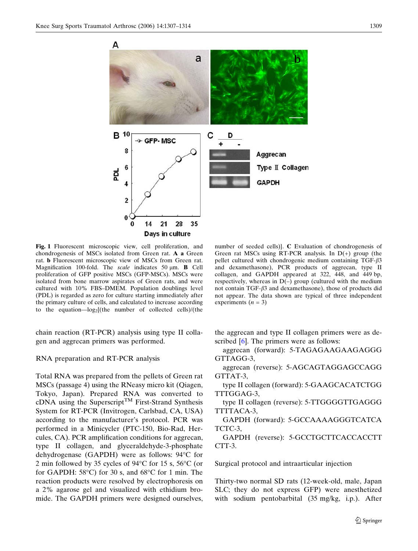<span id="page-2-0"></span>

Fig. 1 Fluorescent microscopic view, cell proliferation, and chondrogenesis of MSCs isolated from Green rat. A a Green rat. b Fluorescent microscopic view of MSCs from Green rat. Magnification 100-fold. The scale indicates 50  $\mu$ m. **B** Cell proliferation of GFP positive MSCs (GFP-MSCs). MSCs were isolated from bone marrow aspirates of Green rats, and were cultured with 10% FBS–DMEM. Population doublings level (PDL) is regarded as zero for culture starting immediately after the primary culture of cells, and calculated to increase according to the equation— $log_2$ [(the number of collected cells)/(the

chain reaction (RT-PCR) analysis using type II collagen and aggrecan primers was performed.

RNA preparation and RT-PCR analysis

Total RNA was prepared from the pellets of Green rat MSCs (passage 4) using the RNeasy micro kit (Qiagen, Tokyo, Japan). Prepared RNA was converted to cDNA using the Superscript<sup>TM</sup> First-Strand Synthesis System for RT-PCR (Invitrogen, Carlsbad, CA, USA) according to the manufacturer's protocol. PCR was performed in a Minicycler (PTC-150, Bio-Rad, Hercules, CA). PCR amplification conditions for aggrecan, type II collagen, and glyceraldehyde-3-phosphate dehydrogenase (GAPDH) were as follows: 94°C for 2 min followed by 35 cycles of  $94^{\circ}$ C for 15 s, 56 $^{\circ}$ C (or for GAPDH:  $58^{\circ}$ C) for 30 s, and  $68^{\circ}$ C for 1 min. The reaction products were resolved by electrophoresis on a 2% agarose gel and visualized with ethidium bromide. The GAPDH primers were designed ourselves,

number of seeded cells)}. C Evaluation of chondrogenesis of Green rat MSCs using RT-PCR analysis. In  $D(+)$  group (the pellet cultured with chondrogenic medium containing  $TGF- $\beta$ 3$ and dexamethasone), PCR products of aggrecan, type II collagen, and GAPDH appeared at 322, 448, and 449 bp, respectively, whereas in  $D(-)$  group (cultured with the medium not contain TGF- $\beta$ 3 and dexamethasone), those of products did not appear. The data shown are typical of three independent experiments  $(n = 3)$ 

the aggrecan and type II collagen primers were as described [[6\]](#page-7-0). The primers were as follows:

aggrecan (forward): 5-TAGAGAAGAAGAGGG GTTAGG-3,

aggrecan (reverse): 5-AGCAGTAGGAGCCAGG GTTAT-3,

type II collagen (forward): 5-GAAGCACATCTGG TTTGGAG-3,

type II collagen (reverse): 5-TTGGGGTTGAGGG TTTTACA-3,

GAPDH (forward): 5-GCCAAAAGGGTCATCA TCTC-3,

GAPDH (reverse): 5-GCCTGCTTCACCACCTT CTT-3.

Surgical protocol and intraarticular injection

Thirty-two normal SD rats (12-week-old, male, Japan SLC; they do not express GFP) were anesthetized with sodium pentobarbital (35 mg/kg, i.p.). After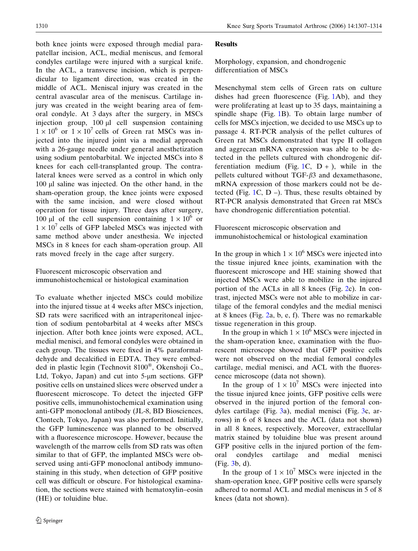both knee joints were exposed through medial parapatellar incision, ACL, medial meniscus, and femoral condyles cartilage were injured with a surgical knife. In the ACL, a transverse incision, which is perpendicular to ligament direction, was created in the middle of ACL. Meniscal injury was created in the central avascular area of the meniscus. Cartilage injury was created in the weight bearing area of femoral condyle. At 3 days after the surgery, in MSCs injection group,  $100 \mu l$  cell suspension containing  $1 \times 10^6$  or  $1 \times 10^7$  cells of Green rat MSCs was injected into the injured joint via a medial approach with a 26-gauge needle under general anesthetization using sodium pentobarbital. We injected MSCs into 8 knees for each cell-transplanted group. The contralateral knees were served as a control in which only 100 µl saline was injected. On the other hand, in the sham-operation group, the knee joints were exposed with the same incision, and were closed without operation for tissue injury. Three days after surgery, 100 µl of the cell suspension containing  $1 \times 10^6$  or  $1 \times 10^{7}$  cells of GFP labeled MSCs was injected with same method above under anesthesia. We injected MSCs in 8 knees for each sham-operation group. All rats moved freely in the cage after surgery.

# Fluorescent microscopic observation and immunohistochemical or histological examination

To evaluate whether injected MSCs could mobilize into the injured tissue at 4 weeks after MSCs injection, SD rats were sacrificed with an intraperitoneal injection of sodium pentobarbital at 4 weeks after MSCs injection. After both knee joints were exposed, ACL, medial menisci, and femoral condyles were obtained in each group. The tissues were fixed in 4% paraformaldehyde and decalcified in EDTA. They were embedded in plastic legin (Technovit  $8100^\circ$ , Okenshoji Co., Ltd, Tokyo, Japan) and cut into 5-um sections. GFP positive cells on unstained slices were observed under a fluorescent microscope. To detect the injected GFP positive cells, immunohistochemical examination using anti-GFP monoclonal antibody (JL-8, BD Biosciences, Clontech, Tokyo, Japan) was also performed. Initially, the GFP luminescence was planned to be observed with a fluorescence microscope. However, because the wavelength of the marrow cells from SD rats was often similar to that of GFP, the implanted MSCs were observed using anti-GFP monoclonal antibody immunostaining in this study, when detection of GFP positive cell was difficult or obscure. For histological examination, the sections were stained with hematoxylin–eosin (HE) or toluidine blue.

# **Results**

Morphology, expansion, and chondrogenic differentiation of MSCs

Mesenchymal stem cells of Green rats on culture dishes had green fluorescence (Fig. [1A](#page-2-0)b), and they were proliferating at least up to 35 days, maintaining a spindle shape (Fig. [1B](#page-2-0)). To obtain large number of cells for MSCs injection, we decided to use MSCs up to passage 4. RT-PCR analysis of the pellet cultures of Green rat MSCs demonstrated that type II collagen and aggrecan mRNA expression was able to be detected in the pellets cultured with chondrogenic dif-ferentiation medium (Fig. [1C](#page-2-0),  $D +$ ), while in the pellets cultured without TGF- $\beta$ 3 and dexamethasone, mRNA expression of those markers could not be detected (Fig.  $1C$  $1C$ ,  $D$  –). Thus, these results obtained by RT-PCR analysis demonstrated that Green rat MSCs have chondrogenic differentiation potential.

Fluorescent microscopic observation and immunohistochemical or histological examination

In the group in which  $1 \times 10^6$  MSCs were injected into the tissue injured knee joints, examination with the fluorescent microscope and HE staining showed that injected MSCs were able to mobilize in the injured portion of the ACLs in all 8 knees (Fig. [2](#page-4-0)c). In contrast, injected MSCs were not able to mobilize in cartilage of the femoral condyles and the medial menisci at 8 knees (Fig. [2a](#page-4-0), b, e, f). There was no remarkable tissue regeneration in this group.

In the group in which  $1 \times 10^6$  MSCs were injected in the sham-operation knee, examination with the fluorescent microscope showed that GFP positive cells were not observed on the medial femoral condyles cartilage, medial menisci, and ACL with the fluorescence microscope (data not shown).

In the group of  $1 \times 10^7$  MSCs were injected into the tissue injured knee joints, GFP positive cells were observed in the injured portion of the femoral condyles cartilage (Fig. [3a](#page-5-0)), medial menisci (Fig. [3](#page-5-0)c, arrows) in 6 of 8 knees and the ACL (data not shown) in all 8 knees, respectively. Moreover, extracellular matrix stained by toluidine blue was present around GFP positive cells in the injured portion of the femoral condyles cartilage and medial menisci (Fig. [3b](#page-5-0), d).

In the group of  $1 \times 10^7$  MSCs were injected in the sham-operation knee, GFP positive cells were sparsely adhered to normal ACL and medial meniscus in 5 of 8 knees (data not shown).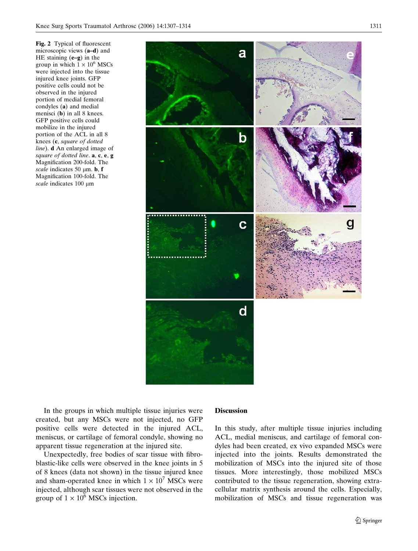<span id="page-4-0"></span>Fig. 2 Typical of fluorescent microscopic views (a–d) and HE staining (e–g) in the group in which  $1 \times 10^6$  MSCs were injected into the tissue injured knee joints. GFP positive cells could not be observed in the injured portion of medial femoral condyles (a) and medial menisci (b) in all 8 knees. GFP positive cells could mobilize in the injured portion of the ACL in all 8 knees (c, square of dotted line). d An enlarged image of square of dotted line.  $a, c, e, g$ Magnification 200-fold. The scale indicates 50  $\mu$ m. b, f Magnification 100-fold. The scale indicates  $100 \mu m$ 



In the groups in which multiple tissue injuries were created, but any MSCs were not injected, no GFP positive cells were detected in the injured ACL, meniscus, or cartilage of femoral condyle, showing no apparent tissue regeneration at the injured site.

Unexpectedly, free bodies of scar tissue with fibroblastic-like cells were observed in the knee joints in 5 of 8 knees (data not shown) in the tissue injured knee and sham-operated knee in which  $1 \times 10^7$  MSCs were injected, although scar tissues were not observed in the group of  $1 \times 10^6$  MSCs injection.

### Discussion

In this study, after multiple tissue injuries including ACL, medial meniscus, and cartilage of femoral condyles had been created, ex vivo expanded MSCs were injected into the joints. Results demonstrated the mobilization of MSCs into the injured site of those tissues. More interestingly, those mobilized MSCs contributed to the tissue regeneration, showing extracellular matrix synthesis around the cells. Especially, mobilization of MSCs and tissue regeneration was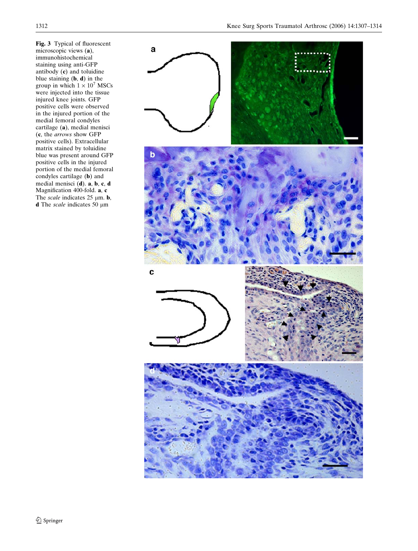<span id="page-5-0"></span>Fig. 3 Typical of fluorescent microscopic views (a), immunohistochemical staining using anti-GFP antibody (c) and toluidine blue staining  $(b, d)$  in the group in which  $1 \times 10^7$  MSCs were injected into the tissue injured knee joints. GFP positive cells were observed in the injured portion of the medial femoral condyles cartilage (a), medial menisci (c, the arrows show GFP positive cells). Extracellular matrix stained by toluidine blue was present around GFP positive cells in the injured portion of the medial femoral condyles cartilage (b) and medial menisci (d). a, b, c, d Magnification 400-fold. a, c The scale indicates 25  $\mu$ m. **b**, **d** The scale indicates 50  $\mu$ m

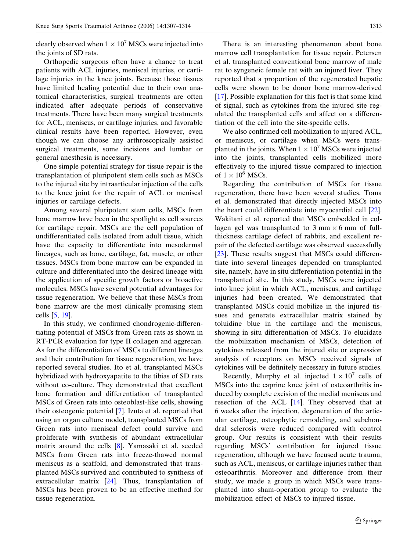clearly observed when  $1 \times 10^7$  MSCs were injected into the joints of SD rats.

Orthopedic surgeons often have a chance to treat patients with ACL injuries, meniscal injuries, or cartilage injuries in the knee joints. Because those tissues have limited healing potential due to their own anatomical characteristics, surgical treatments are often indicated after adequate periods of conservative treatments. There have been many surgical treatments for ACL, meniscus, or cartilage injuries, and favorable clinical results have been reported. However, even though we can choose any arthroscopically assisted surgical treatments, some incisions and lumbar or general anesthesia is necessary.

One simple potential strategy for tissue repair is the transplantation of pluripotent stem cells such as MSCs to the injured site by intraarticular injection of the cells to the knee joint for the repair of ACL or meniscal injuries or cartilage defects.

Among several pluripotent stem cells, MSCs from bone marrow have been in the spotlight as cell sources for cartilage repair. MSCs are the cell population of undifferentiated cells isolated from adult tissue, which have the capacity to differentiate into mesodermal lineages, such as bone, cartilage, fat, muscle, or other tissues. MSCs from bone marrow can be expanded in culture and differentiated into the desired lineage with the application of specific growth factors or bioactive molecules. MSCs have several potential advantages for tissue regeneration. We believe that these MSCs from bone marrow are the most clinically promising stem cells [[5,](#page-7-0) [19](#page-7-0)].

In this study, we confirmed chondrogenic-differentiating potential of MSCs from Green rats as shown in RT-PCR evaluation for type II collagen and aggrecan. As for the differentiation of MSCs to different lineages and their contribution for tissue regeneration, we have reported several studies. Ito et al. transplanted MSCs hybridized with hydroxyapatite to the tibias of SD rats without co-culture. They demonstrated that excellent bone formation and differentiation of transplanted MSCs of Green rats into osteoblast-like cells, showing their osteogenic potential [\[7](#page-7-0)]. Izuta et al. reported that using an organ culture model, transplanted MSCs from Green rats into meniscal defect could survive and proliferate with synthesis of abundant extracellular matrix around the cells [\[8](#page-7-0)]. Yamasaki et al. seeded MSCs from Green rats into freeze-thawed normal meniscus as a scaffold, and demonstrated that transplanted MSCs survived and contributed to synthesis of extracellular matrix  $[24]$  $[24]$ . Thus, transplantation of MSCs has been proven to be an effective method for tissue regeneration.

There is an interesting phenomenon about bone marrow cell transplantation for tissue repair. Petersen et al. transplanted conventional bone marrow of male rat to syngeneic female rat with an injured liver. They reported that a proportion of the regenerated hepatic cells were shown to be donor bone marrow-derived [\[17](#page-7-0)]. Possible explanation for this fact is that some kind of signal, such as cytokines from the injured site regulated the transplanted cells and affect on a differentiation of the cell into the site-specific cells.

We also confirmed cell mobilization to injured ACL, or meniscus, or cartilage when MSCs were transplanted in the joints. When  $1 \times 10^7$  MSCs were injected into the joints, transplanted cells mobilized more effectively to the injured tissue compared to injection of  $1 \times 10^6$  MSCs.

Regarding the contribution of MSCs for tissue regeneration, there have been several studies. Toma et al. demonstrated that directly injected MSCs into the heart could differentiate into myocardial cell [\[22](#page-7-0)]. Wakitani et al. reported that MSCs embedded in collagen gel was transplanted to  $3 \text{ mm} \times 6 \text{ mm}$  of fullthickness cartilage defect of rabbits, and excellent repair of the defected cartilage was observed successfully [\[23](#page-7-0)]. These results suggest that MSCs could differentiate into several lineages depended on transplanted site, namely, have in situ differentiation potential in the transplanted site. In this study, MSCs were injected into knee joint in which ACL, meniscus, and cartilage injuries had been created. We demonstrated that transplanted MSCs could mobilize in the injured tissues and generate extracellular matrix stained by toluidine blue in the cartilage and the meniscus, showing in situ differentiation of MSCs. To elucidate the mobilization mechanism of MSCs, detection of cytokines released from the injured site or expression analysis of receptors on MSCs received signals of cytokines will be definitely necessary in future studies.

Recently, Murphy et al. injected  $1 \times 10^7$  cells of MSCs into the caprine knee joint of osteoarthritis induced by complete excision of the medial meniscus and resection of the ACL [[14\]](#page-7-0). They observed that at 6 weeks after the injection, degeneration of the articular cartilage, osteophytic remodeling, and subchondral sclerosis were reduced compared with control group. Our results is consistent with their results regarding MSCs' contribution for injured tissue regeneration, although we have focused acute trauma, such as ACL, meniscus, or cartilage injuries rather than osteoarthritis. Moreover and difference from their study, we made a group in which MSCs were transplanted into sham-operation group to evaluate the mobilization effect of MSCs to injured tissue.